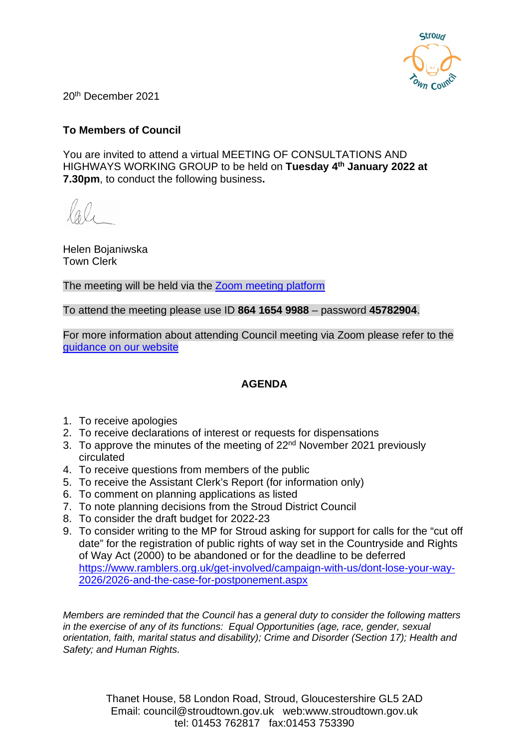

20th December 2021

## **To Members of Council**

You are invited to attend a virtual MEETING OF CONSULTATIONS AND HIGHWAYS WORKING GROUP to be held on **Tuesday 4th January 2022 at 7.30pm**, to conduct the following business**.**

Helen Bojaniwska Town Clerk

The meeting will be held via the **Zoom meeting platform** 

To attend the meeting please use ID **864 1654 9988** – password **45782904**.

For more information about attending Council meeting via Zoom please refer to the [guidance on our website](https://www.stroudtown.gov.uk/uploads/taking-part-in-an-stc-zoom-meeting-april-2020.pdf)

### **AGENDA**

- 1. To receive apologies
- 2. To receive declarations of interest or requests for dispensations
- 3. To approve the minutes of the meeting of  $22<sup>nd</sup>$  November 2021 previously circulated
- 4. To receive questions from members of the public
- 5. To receive the Assistant Clerk's Report (for information only)
- 6. To comment on planning applications as listed
- 7. To note planning decisions from the Stroud District Council
- 8. To consider the draft budget for 2022-23
- 9. To consider writing to the MP for Stroud asking for support for calls for the "cut off date" for the registration of public rights of way set in the Countryside and Rights of Way Act (2000) to be abandoned or for the deadline to be deferred [https://www.ramblers.org.uk/get-involved/campaign-with-us/dont-lose-your-way-](https://www.ramblers.org.uk/get-involved/campaign-with-us/dont-lose-your-way-2026/2026-and-the-case-for-postponement.aspx)[2026/2026-and-the-case-for-postponement.aspx](https://www.ramblers.org.uk/get-involved/campaign-with-us/dont-lose-your-way-2026/2026-and-the-case-for-postponement.aspx)

*Members are reminded that the Council has a general duty to consider the following matters in the exercise of any of its functions: Equal Opportunities (age, race, gender, sexual orientation, faith, marital status and disability); Crime and Disorder (Section 17); Health and Safety; and Human Rights.*

> Thanet House, 58 London Road, Stroud, Gloucestershire GL5 2AD Email: council@stroudtown.gov.uk web:www.stroudtown.gov.uk tel: 01453 762817 fax:01453 753390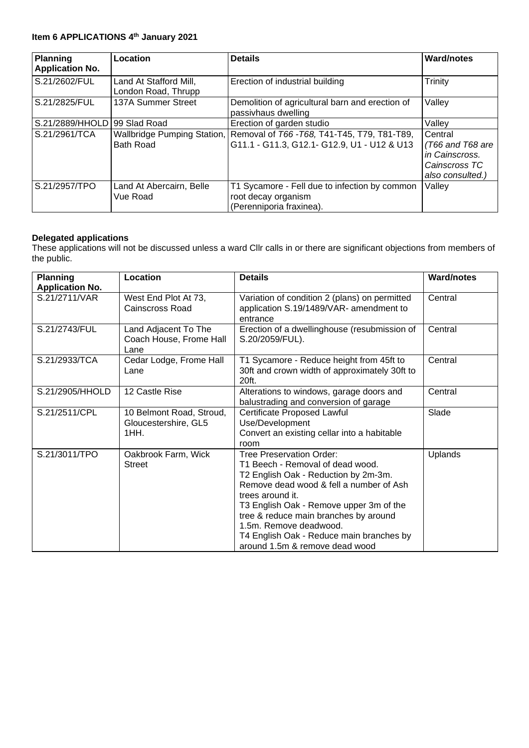## **Item 6 APPLICATIONS 4th January 2021**

| <b>Planning</b><br><b>Application No.</b> | Location                                      | <b>Details</b>                                                                                                          | <b>Ward/notes</b>                                                                    |
|-------------------------------------------|-----------------------------------------------|-------------------------------------------------------------------------------------------------------------------------|--------------------------------------------------------------------------------------|
| S.21/2602/FUL                             | Land At Stafford Mill,<br>London Road, Thrupp | Erection of industrial building                                                                                         | Trinity                                                                              |
| S.21/2825/FUL                             | 137A Summer Street                            | Demolition of agricultural barn and erection of<br>passivhaus dwelling                                                  | Valley                                                                               |
| S.21/2889/HHOLD 99 Slad Road              |                                               | Erection of garden studio                                                                                               | Valley                                                                               |
| S.21/2961/TCA                             | <b>Bath Road</b>                              | Wallbridge Pumping Station, Removal of T66 - T68, T41-T45, T79, T81-T89,<br>G11.1 - G11.3, G12.1- G12.9, U1 - U12 & U13 | Central<br>$(T66$ and T68 are<br>in Cainscross.<br>Cainscross TC<br>also consulted.) |
| S.21/2957/TPO                             | Land At Abercairn, Belle<br>Vue Road          | T1 Sycamore - Fell due to infection by common<br>root decay organism<br>(Perenniporia fraxinea).                        | Valley                                                                               |

#### **Delegated applications**

These applications will not be discussed unless a ward Cllr calls in or there are significant objections from members of the public.

| <b>Planning</b><br><b>Application No.</b> | Location                                                 | <b>Details</b>                                                                                                                                                                                                                                                                                                                                                         | <b>Ward/notes</b> |
|-------------------------------------------|----------------------------------------------------------|------------------------------------------------------------------------------------------------------------------------------------------------------------------------------------------------------------------------------------------------------------------------------------------------------------------------------------------------------------------------|-------------------|
| S.21/2711/VAR                             | West End Plot At 73,<br>Cainscross Road                  | Variation of condition 2 (plans) on permitted<br>application S.19/1489/VAR- amendment to<br>entrance                                                                                                                                                                                                                                                                   | Central           |
| S.21/2743/FUL                             | Land Adjacent To The<br>Coach House, Frome Hall<br>Lane  | Erection of a dwellinghouse (resubmission of<br>S.20/2059/FUL).                                                                                                                                                                                                                                                                                                        | Central           |
| S.21/2933/TCA                             | Cedar Lodge, Frome Hall<br>Lane                          | T1 Sycamore - Reduce height from 45ft to<br>30ft and crown width of approximately 30ft to<br>20ft.                                                                                                                                                                                                                                                                     | Central           |
| S.21/2905/HHOLD                           | 12 Castle Rise                                           | Alterations to windows, garage doors and<br>balustrading and conversion of garage                                                                                                                                                                                                                                                                                      | Central           |
| S.21/2511/CPL                             | 10 Belmont Road, Stroud,<br>Gloucestershire, GL5<br>1HH. | <b>Certificate Proposed Lawful</b><br>Use/Development<br>Convert an existing cellar into a habitable<br>room                                                                                                                                                                                                                                                           | Slade             |
| S.21/3011/TPO                             | Oakbrook Farm, Wick<br><b>Street</b>                     | <b>Tree Preservation Order:</b><br>T1 Beech - Removal of dead wood.<br>T2 English Oak - Reduction by 2m-3m.<br>Remove dead wood & fell a number of Ash<br>trees around it.<br>T3 English Oak - Remove upper 3m of the<br>tree & reduce main branches by around<br>1.5m. Remove deadwood.<br>T4 English Oak - Reduce main branches by<br>around 1.5m & remove dead wood | Uplands           |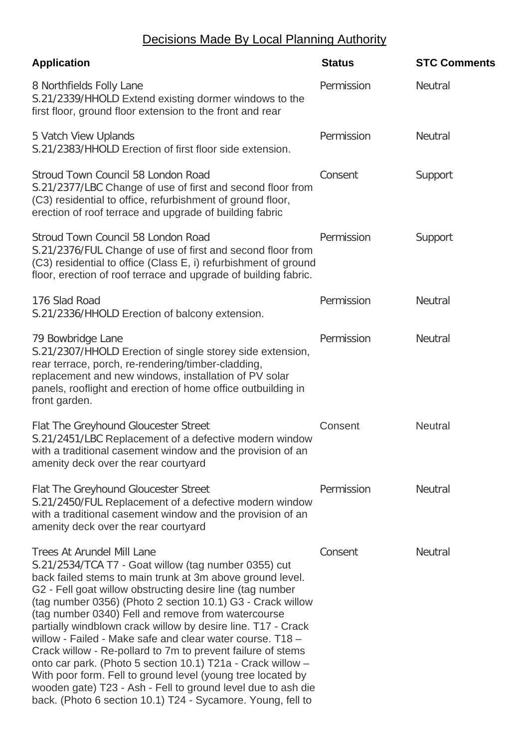## Decisions Made By Local Planning Authority

| <b>Application</b>                                                                                                                                                                                                                                                                                                                                                                                                                                                                                                                                                                                                                                                                                                                                                                               | <b>Status</b> | <b>STC Comments</b> |
|--------------------------------------------------------------------------------------------------------------------------------------------------------------------------------------------------------------------------------------------------------------------------------------------------------------------------------------------------------------------------------------------------------------------------------------------------------------------------------------------------------------------------------------------------------------------------------------------------------------------------------------------------------------------------------------------------------------------------------------------------------------------------------------------------|---------------|---------------------|
| 8 Northfields Folly Lane<br>S.21/2339/HHOLD Extend existing dormer windows to the<br>first floor, ground floor extension to the front and rear                                                                                                                                                                                                                                                                                                                                                                                                                                                                                                                                                                                                                                                   | Permission    | <b>Neutral</b>      |
| 5 Vatch View Uplands<br>S.21/2383/HHOLD Erection of first floor side extension.                                                                                                                                                                                                                                                                                                                                                                                                                                                                                                                                                                                                                                                                                                                  | Permission    | <b>Neutral</b>      |
| Stroud Town Council 58 London Road<br>S.21/2377/LBC Change of use of first and second floor from<br>(C3) residential to office, refurbishment of ground floor,<br>erection of roof terrace and upgrade of building fabric                                                                                                                                                                                                                                                                                                                                                                                                                                                                                                                                                                        | Consent       | Support             |
| Stroud Town Council 58 London Road<br>S.21/2376/FUL Change of use of first and second floor from<br>(C3) residential to office (Class E, i) refurbishment of ground<br>floor, erection of roof terrace and upgrade of building fabric.                                                                                                                                                                                                                                                                                                                                                                                                                                                                                                                                                           | Permission    | Support             |
| 176 Slad Road<br>S.21/2336/HHOLD Erection of balcony extension.                                                                                                                                                                                                                                                                                                                                                                                                                                                                                                                                                                                                                                                                                                                                  | Permission    | <b>Neutral</b>      |
| 79 Bowbridge Lane<br>S.21/2307/HHOLD Erection of single storey side extension,<br>rear terrace, porch, re-rendering/timber-cladding,<br>replacement and new windows, installation of PV solar<br>panels, rooflight and erection of home office outbuilding in<br>front garden.                                                                                                                                                                                                                                                                                                                                                                                                                                                                                                                   | Permission    | <b>Neutral</b>      |
| Flat The Greyhound Gloucester Street<br>S.21/2451/LBC Replacement of a defective modern window<br>with a traditional casement window and the provision of an<br>amenity deck over the rear courtyard                                                                                                                                                                                                                                                                                                                                                                                                                                                                                                                                                                                             | Consent       | <b>Neutral</b>      |
| Flat The Greyhound Gloucester Street<br>S.21/2450/FUL Replacement of a defective modern window<br>with a traditional casement window and the provision of an<br>amenity deck over the rear courtyard                                                                                                                                                                                                                                                                                                                                                                                                                                                                                                                                                                                             | Permission    | <b>Neutral</b>      |
| <b>Trees At Arundel Mill Lane</b><br>S.21/2534/TCA T7 - Goat willow (tag number 0355) cut<br>back failed stems to main trunk at 3m above ground level.<br>G2 - Fell goat willow obstructing desire line (tag number<br>(tag number 0356) (Photo 2 section 10.1) G3 - Crack willow<br>(tag number 0340) Fell and remove from watercourse<br>partially windblown crack willow by desire line. T17 - Crack<br>willow - Failed - Make safe and clear water course. T18 -<br>Crack willow - Re-pollard to 7m to prevent failure of stems<br>onto car park. (Photo 5 section 10.1) T21a - Crack willow -<br>With poor form. Fell to ground level (young tree located by<br>wooden gate) T23 - Ash - Fell to ground level due to ash die<br>back. (Photo 6 section 10.1) T24 - Sycamore. Young, fell to | Consent       | <b>Neutral</b>      |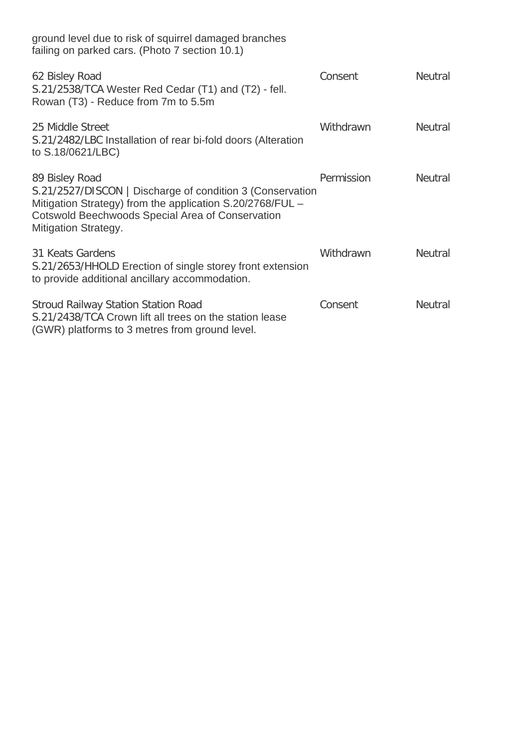| ground level due to risk of squirrel damaged branches<br>failing on parked cars. (Photo 7 section 10.1)                                                                                                                            |            |                |
|------------------------------------------------------------------------------------------------------------------------------------------------------------------------------------------------------------------------------------|------------|----------------|
| 62 Bisley Road<br>S.21/2538/TCA Wester Red Cedar (T1) and (T2) - fell.<br>Rowan (T3) - Reduce from 7m to 5.5m                                                                                                                      | Consent    | <b>Neutral</b> |
| 25 Middle Street<br>S.21/2482/LBC Installation of rear bi-fold doors (Alteration<br>to S.18/0621/LBC)                                                                                                                              | Withdrawn  | <b>Neutral</b> |
| 89 Bisley Road<br>S.21/2527/DISCON   Discharge of condition 3 (Conservation<br>Mitigation Strategy) from the application S.20/2768/FUL -<br><b>Cotswold Beechwoods Special Area of Conservation</b><br><b>Mitigation Strategy.</b> | Permission | <b>Neutral</b> |
| 31 Keats Gardens<br>S.21/2653/HHOLD Erection of single storey front extension<br>to provide additional ancillary accommodation.                                                                                                    | Withdrawn  | <b>Neutral</b> |
| <b>Stroud Railway Station Station Road</b><br>S.21/2438/TCA Crown lift all trees on the station lease<br>(GWR) platforms to 3 metres from ground level.                                                                            | Consent    | <b>Neutral</b> |